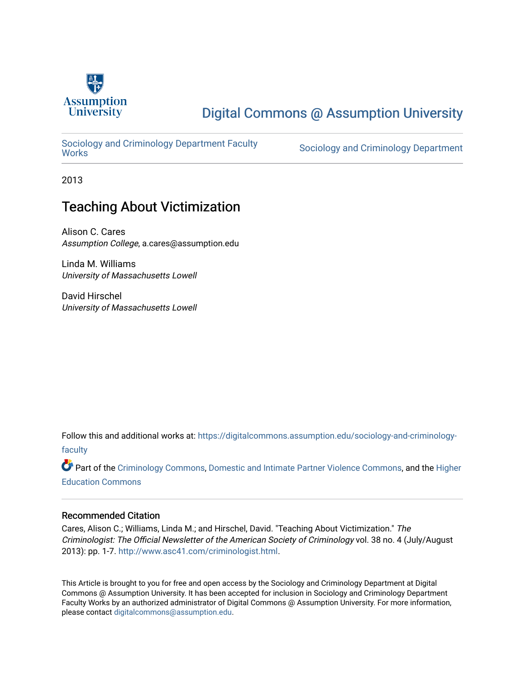

# [Digital Commons @ Assumption University](https://digitalcommons.assumption.edu/)

Sociology and Criminology Department Faculty<br>Works

Sociology and Criminology Department

2013

# Teaching About Victimization

Alison C. Cares Assumption College, a.cares@assumption.edu

Linda M. Williams University of Massachusetts Lowell

David Hirschel University of Massachusetts Lowell

Follow this and additional works at: [https://digitalcommons.assumption.edu/sociology-and-criminology](https://digitalcommons.assumption.edu/sociology-and-criminology-faculty?utm_source=digitalcommons.assumption.edu%2Fsociology-and-criminology-faculty%2F10&utm_medium=PDF&utm_campaign=PDFCoverPages)[faculty](https://digitalcommons.assumption.edu/sociology-and-criminology-faculty?utm_source=digitalcommons.assumption.edu%2Fsociology-and-criminology-faculty%2F10&utm_medium=PDF&utm_campaign=PDFCoverPages)

Part of the [Criminology Commons](http://network.bepress.com/hgg/discipline/417?utm_source=digitalcommons.assumption.edu%2Fsociology-and-criminology-faculty%2F10&utm_medium=PDF&utm_campaign=PDFCoverPages), [Domestic and Intimate Partner Violence Commons,](http://network.bepress.com/hgg/discipline/1309?utm_source=digitalcommons.assumption.edu%2Fsociology-and-criminology-faculty%2F10&utm_medium=PDF&utm_campaign=PDFCoverPages) and the [Higher](http://network.bepress.com/hgg/discipline/1245?utm_source=digitalcommons.assumption.edu%2Fsociology-and-criminology-faculty%2F10&utm_medium=PDF&utm_campaign=PDFCoverPages) [Education Commons](http://network.bepress.com/hgg/discipline/1245?utm_source=digitalcommons.assumption.edu%2Fsociology-and-criminology-faculty%2F10&utm_medium=PDF&utm_campaign=PDFCoverPages) 

## Recommended Citation

Cares, Alison C.; Williams, Linda M.; and Hirschel, David. "Teaching About Victimization." The Criminologist: The Official Newsletter of the American Society of Criminology vol. 38 no. 4 (July/August 2013): pp. 1-7.<http://www.asc41.com/criminologist.html>.

This Article is brought to you for free and open access by the Sociology and Criminology Department at Digital Commons @ Assumption University. It has been accepted for inclusion in Sociology and Criminology Department Faculty Works by an authorized administrator of Digital Commons @ Assumption University. For more information, please contact [digitalcommons@assumption.edu](mailto:digitalcommons@assumption.edu).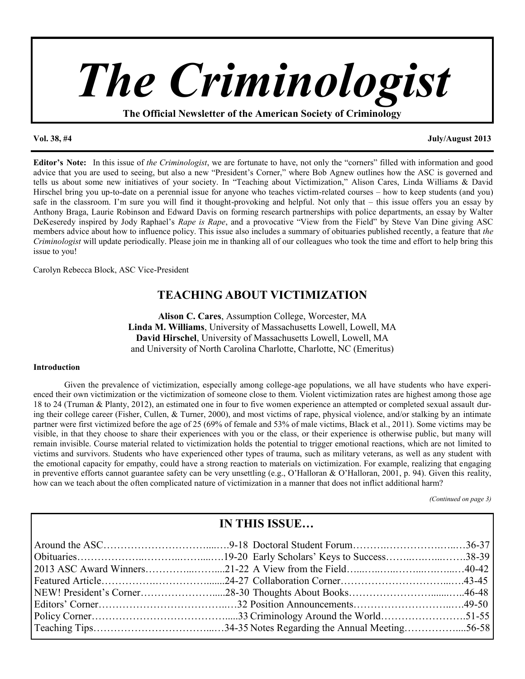

**The Official Newsletter of the American Society of Criminology**

#### **Vol. 38, #4 July/August 2013**

**Editor's Note:** In this issue of *the Criminologist*, we are fortunate to have, not only the "corners" filled with information and good advice that you are used to seeing, but also a new "President's Corner," where Bob Agnew outlines how the ASC is governed and tells us about some new initiatives of your society. In "Teaching about Victimization," Alison Cares, Linda Williams & David Hirschel bring you up-to-date on a perennial issue for anyone who teaches victim-related courses – how to keep students (and you) safe in the classroom. I'm sure you will find it thought-provoking and helpful. Not only that – this issue offers you an essay by Anthony Braga, Laurie Robinson and Edward Davis on forming research partnerships with police departments, an essay by Walter DeKeseredy inspired by Jody Raphael's *Rape is Rape*, and a provocative "View from the Field" by Steve Van Dine giving ASC members advice about how to influence policy. This issue also includes a summary of obituaries published recently, a feature that *the Criminologist* will update periodically. Please join me in thanking all of our colleagues who took the time and effort to help bring this issue to you!

Carolyn Rebecca Block, ASC Vice-President

## **TEACHING ABOUT VICTIMIZATION**

**Alison C. Cares**, Assumption College, Worcester, MA **Linda M. Williams**, University of Massachusetts Lowell, Lowell, MA **David Hirschel**, University of Massachusetts Lowell, Lowell, MA and University of North Carolina Charlotte, Charlotte, NC (Emeritus)

#### **Introduction**

Given the prevalence of victimization, especially among college-age populations, we all have students who have experienced their own victimization or the victimization of someone close to them. Violent victimization rates are highest among those age 18 to 24 (Truman & Planty, 2012), an estimated one in four to five women experience an attempted or completed sexual assault during their college career (Fisher, Cullen, & Turner, 2000), and most victims of rape, physical violence, and/or stalking by an intimate partner were first victimized before the age of 25 (69% of female and 53% of male victims, Black et al., 2011). Some victims may be visible, in that they choose to share their experiences with you or the class, or their experience is otherwise public, but many will remain invisible. Course material related to victimization holds the potential to trigger emotional reactions, which are not limited to victims and survivors. Students who have experienced other types of trauma, such as military veterans, as well as any student with the emotional capacity for empathy, could have a strong reaction to materials on victimization. For example, realizing that engaging in preventive efforts cannot guarantee safety can be very unsettling (e.g., O'Halloran & O'Halloran, 2001, p. 94). Given this reality, how can we teach about the often complicated nature of victimization in a manner that does not inflict additional harm?

*(Continued on page 3)*

| <b>IN THIS ISSUE</b> |  |  |
|----------------------|--|--|
|                      |  |  |
|                      |  |  |
|                      |  |  |
|                      |  |  |
|                      |  |  |
|                      |  |  |
|                      |  |  |
|                      |  |  |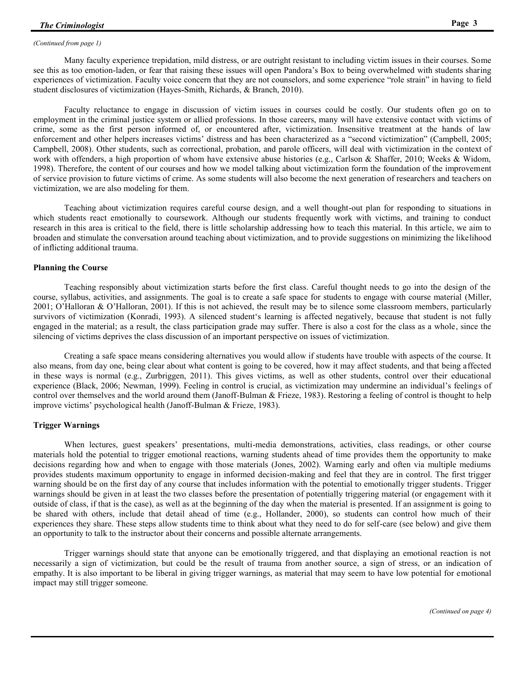#### *(Continued from page 1)*

Many faculty experience trepidation, mild distress, or are outright resistant to including victim issues in their courses. Some see this as too emotion-laden, or fear that raising these issues will open Pandora's Box to being overwhelmed with students sharing experiences of victimization. Faculty voice concern that they are not counselors, and some experience "role strain" in having to field student disclosures of victimization (Hayes-Smith, Richards, & Branch, 2010).

Faculty reluctance to engage in discussion of victim issues in courses could be costly. Our students often go on to employment in the criminal justice system or allied professions. In those careers, many will have extensive contact with victims of crime, some as the first person informed of, or encountered after, victimization. Insensitive treatment at the hands of law enforcement and other helpers increases victims' distress and has been characterized as a "second victimization" (Campbell, 2005; Campbell, 2008). Other students, such as correctional, probation, and parole officers, will deal with victimization in the context of work with offenders, a high proportion of whom have extensive abuse histories (e.g., Carlson & Shaffer, 2010; Weeks & Widom, 1998). Therefore, the content of our courses and how we model talking about victimization form the foundation of the improvement of service provision to future victims of crime. As some students will also become the next generation of researchers and teachers on victimization, we are also modeling for them.

Teaching about victimization requires careful course design, and a well thought-out plan for responding to situations in which students react emotionally to coursework. Although our students frequently work with victims, and training to conduct research in this area is critical to the field, there is little scholarship addressing how to teach this material. In this article, we aim to broaden and stimulate the conversation around teaching about victimization, and to provide suggestions on minimizing the likelihood of inflicting additional trauma.

#### **Planning the Course**

Teaching responsibly about victimization starts before the first class. Careful thought needs to go into the design of the course, syllabus, activities, and assignments. The goal is to create a safe space for students to engage with course material (Miller, 2001; O'Halloran & O'Halloran, 2001). If this is not achieved, the result may be to silence some classroom members, particularly survivors of victimization (Konradi, 1993). A silenced student's learning is affected negatively, because that student is not fully engaged in the material; as a result, the class participation grade may suffer. There is also a cost for the class as a whole, since the silencing of victims deprives the class discussion of an important perspective on issues of victimization.

Creating a safe space means considering alternatives you would allow if students have trouble with aspects of the course. It also means, from day one, being clear about what content is going to be covered, how it may affect students, and that being affected in these ways is normal (e.g., Zurbriggen, 2011). This gives victims, as well as other students, control over their educational experience (Black, 2006; Newman, 1999). Feeling in control is crucial, as victimization may undermine an individual's feelings of control over themselves and the world around them (Janoff-Bulman & Frieze, 1983). Restoring a feeling of control is thought to help improve victims' psychological health (Janoff-Bulman & Frieze, 1983).

#### **Trigger Warnings**

When lectures, guest speakers' presentations, multi-media demonstrations, activities, class readings, or other course materials hold the potential to trigger emotional reactions, warning students ahead of time provides them the opportunity to make decisions regarding how and when to engage with those materials (Jones, 2002). Warning early and often via multiple mediums provides students maximum opportunity to engage in informed decision-making and feel that they are in control. The first trigger warning should be on the first day of any course that includes information with the potential to emotionally trigger students. Trigger warnings should be given in at least the two classes before the presentation of potentially triggering material (or engagement with it outside of class, if that is the case), as well as at the beginning of the day when the material is presented. If an assignment is going to be shared with others, include that detail ahead of time (e.g., Hollander, 2000), so students can control how much of their experiences they share. These steps allow students time to think about what they need to do for self-care (see below) and give them an opportunity to talk to the instructor about their concerns and possible alternate arrangements.

Trigger warnings should state that anyone can be emotionally triggered, and that displaying an emotional reaction is not necessarily a sign of victimization, but could be the result of trauma from another source, a sign of stress, or an indication of empathy. It is also important to be liberal in giving trigger warnings, as material that may seem to have low potential for emotional impact may still trigger someone.

*(Continued on page 4)*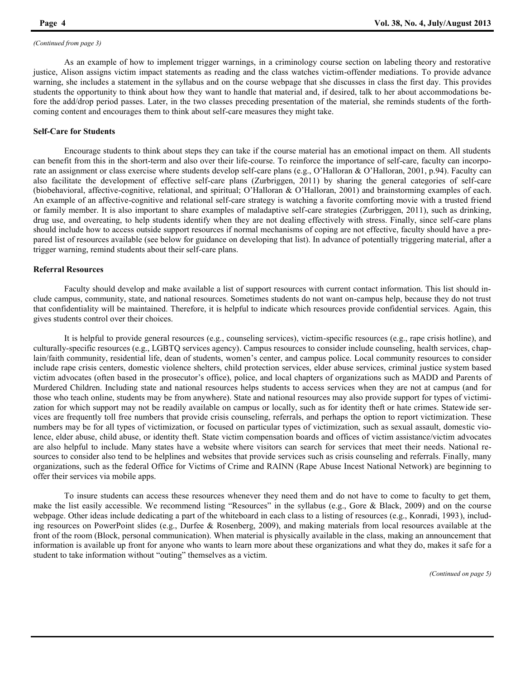#### *(Continued from page 3)*

As an example of how to implement trigger warnings, in a criminology course section on labeling theory and restorative justice, Alison assigns victim impact statements as reading and the class watches victim-offender mediations. To provide advance warning, she includes a statement in the syllabus and on the course webpage that she discusses in class the first day. This provides students the opportunity to think about how they want to handle that material and, if desired, talk to her about accommodations before the add/drop period passes. Later, in the two classes preceding presentation of the material, she reminds students of the forthcoming content and encourages them to think about self-care measures they might take.

### **Self-Care for Students**

Encourage students to think about steps they can take if the course material has an emotional impact on them. All students can benefit from this in the short-term and also over their life-course. To reinforce the importance of self-care, faculty can incorporate an assignment or class exercise where students develop self-care plans (e.g., O'Halloran & O'Halloran, 2001, p.94). Faculty can also facilitate the development of effective self-care plans (Zurbriggen, 2011) by sharing the general categories of self-care (biobehavioral, affective-cognitive, relational, and spiritual; O'Halloran & O'Halloran, 2001) and brainstorming examples of each. An example of an affective-cognitive and relational self-care strategy is watching a favorite comforting movie with a trusted friend or family member. It is also important to share examples of maladaptive self-care strategies (Zurbriggen, 2011), such as drinking, drug use, and overeating, to help students identify when they are not dealing effectively with stress. Finally, since self-care plans should include how to access outside support resources if normal mechanisms of coping are not effective, faculty should have a prepared list of resources available (see below for guidance on developing that list). In advance of potentially triggering material, after a trigger warning, remind students about their self-care plans.

#### **Referral Resources**

Faculty should develop and make available a list of support resources with current contact information. This list should include campus, community, state, and national resources. Sometimes students do not want on-campus help, because they do not trust that confidentiality will be maintained. Therefore, it is helpful to indicate which resources provide confidential services. Again, this gives students control over their choices.

It is helpful to provide general resources (e.g., counseling services), victim-specific resources (e.g., rape crisis hotline), and culturally-specific resources (e.g., LGBTQ services agency). Campus resources to consider include counseling, health services, chaplain/faith community, residential life, dean of students, women's center, and campus police. Local community resources to consider include rape crisis centers, domestic violence shelters, child protection services, elder abuse services, criminal justice system based victim advocates (often based in the prosecutor's office), police, and local chapters of organizations such as MADD and Parents of Murdered Children. Including state and national resources helps students to access services when they are not at campus (and for those who teach online, students may be from anywhere). State and national resources may also provide support for types of victimization for which support may not be readily available on campus or locally, such as for identity theft or hate crimes. Statewide services are frequently toll free numbers that provide crisis counseling, referrals, and perhaps the option to report victimization. These numbers may be for all types of victimization, or focused on particular types of victimization, such as sexual assault, domestic violence, elder abuse, child abuse, or identity theft. State victim compensation boards and offices of victim assistance/victim advocates are also helpful to include. Many states have a website where visitors can search for services that meet their needs. National resources to consider also tend to be helplines and websites that provide services such as crisis counseling and referrals. Finally, many organizations, such as the federal Office for Victims of Crime and RAINN (Rape Abuse Incest National Network) are beginning to offer their services via mobile apps.

To insure students can access these resources whenever they need them and do not have to come to faculty to get them, make the list easily accessible. We recommend listing "Resources" in the syllabus (e.g., Gore & Black, 2009) and on the course webpage. Other ideas include dedicating a part of the whiteboard in each class to a listing of resources (e.g., Konradi, 1993), including resources on PowerPoint slides (e.g., Durfee & Rosenberg, 2009), and making materials from local resources available at the front of the room (Block, personal communication). When material is physically available in the class, making an announcement that information is available up front for anyone who wants to learn more about these organizations and what they do, makes it safe for a student to take information without "outing" themselves as a victim.

*(Continued on page 5)*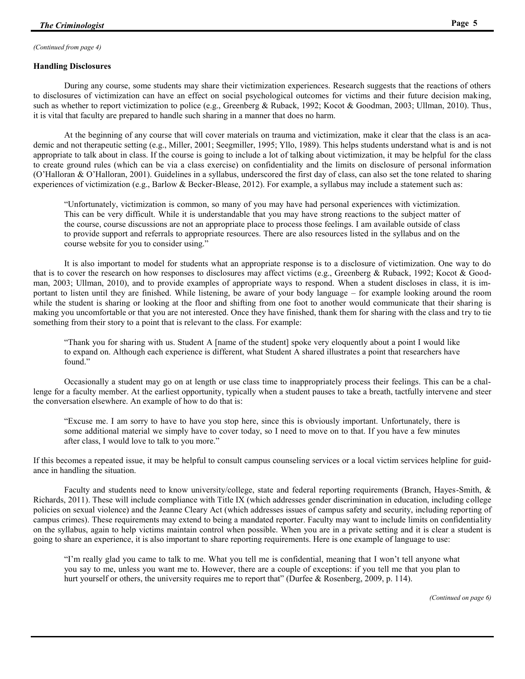#### *(Continued from page 4)*

#### **Handling Disclosures**

During any course, some students may share their victimization experiences. Research suggests that the reactions of others to disclosures of victimization can have an effect on social psychological outcomes for victims and their future decision making, such as whether to report victimization to police (e.g., Greenberg & Ruback, 1992; Kocot & Goodman, 2003; Ullman, 2010). Thus, it is vital that faculty are prepared to handle such sharing in a manner that does no harm.

At the beginning of any course that will cover materials on trauma and victimization, make it clear that the class is an academic and not therapeutic setting (e.g., Miller, 2001; Seegmiller, 1995; Yllo, 1989). This helps students understand what is and is not appropriate to talk about in class. If the course is going to include a lot of talking about victimization, it may be helpful for the class to create ground rules (which can be via a class exercise) on confidentiality and the limits on disclosure of personal information (O'Halloran & O'Halloran, 2001). Guidelines in a syllabus, underscored the first day of class, can also set the tone related to sharing experiences of victimization (e.g., Barlow & Becker-Blease, 2012). For example, a syllabus may include a statement such as:

"Unfortunately, victimization is common, so many of you may have had personal experiences with victimization. This can be very difficult. While it is understandable that you may have strong reactions to the subject matter of the course, course discussions are not an appropriate place to process those feelings. I am available outside of class to provide support and referrals to appropriate resources. There are also resources listed in the syllabus and on the course website for you to consider using."

It is also important to model for students what an appropriate response is to a disclosure of victimization. One way to do that is to cover the research on how responses to disclosures may affect victims (e.g., Greenberg & Ruback, 1992; Kocot & Goodman, 2003; Ullman, 2010), and to provide examples of appropriate ways to respond. When a student discloses in class, it is important to listen until they are finished. While listening, be aware of your body language – for example looking around the room while the student is sharing or looking at the floor and shifting from one foot to another would communicate that their sharing is making you uncomfortable or that you are not interested. Once they have finished, thank them for sharing with the class and try to tie something from their story to a point that is relevant to the class. For example:

"Thank you for sharing with us. Student A [name of the student] spoke very eloquently about a point I would like to expand on. Although each experience is different, what Student A shared illustrates a point that researchers have found."

Occasionally a student may go on at length or use class time to inappropriately process their feelings. This can be a challenge for a faculty member. At the earliest opportunity, typically when a student pauses to take a breath, tactfully intervene and steer the conversation elsewhere. An example of how to do that is:

"Excuse me. I am sorry to have to have you stop here, since this is obviously important. Unfortunately, there is some additional material we simply have to cover today, so I need to move on to that. If you have a few minutes after class, I would love to talk to you more."

If this becomes a repeated issue, it may be helpful to consult campus counseling services or a local victim services helpline for guidance in handling the situation.

Faculty and students need to know university/college, state and federal reporting requirements (Branch, Hayes-Smith, & Richards, 2011). These will include compliance with Title IX (which addresses gender discrimination in education, including college policies on sexual violence) and the Jeanne Cleary Act (which addresses issues of campus safety and security, including reporting of campus crimes). These requirements may extend to being a mandated reporter. Faculty may want to include limits on confidentiality on the syllabus, again to help victims maintain control when possible. When you are in a private setting and it is clear a student is going to share an experience, it is also important to share reporting requirements. Here is one example of language to use:

"I'm really glad you came to talk to me. What you tell me is confidential, meaning that I won't tell anyone what you say to me, unless you want me to. However, there are a couple of exceptions: if you tell me that you plan to hurt yourself or others, the university requires me to report that" (Durfee & Rosenberg, 2009, p. 114).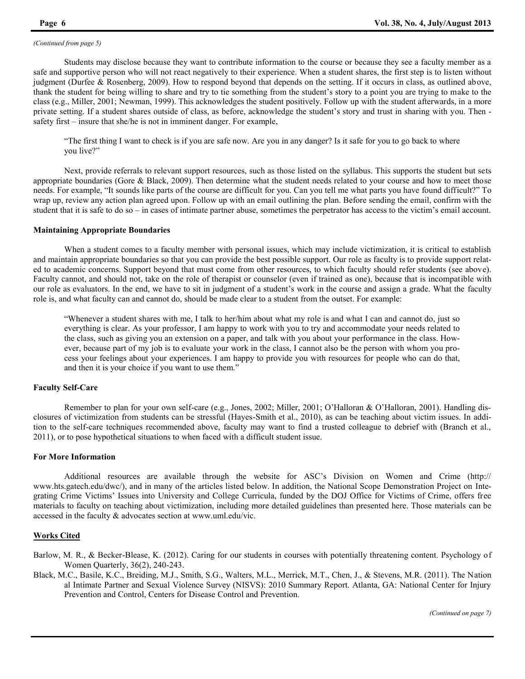#### *(Continued from page 5)*

Students may disclose because they want to contribute information to the course or because they see a faculty member as a safe and supportive person who will not react negatively to their experience. When a student shares, the first step is to listen without judgment (Durfee & Rosenberg, 2009). How to respond beyond that depends on the setting. If it occurs in class, as outlined above, thank the student for being willing to share and try to tie something from the student's story to a point you are trying to make to the class (e.g., Miller, 2001; Newman, 1999). This acknowledges the student positively. Follow up with the student afterwards, in a more private setting. If a student shares outside of class, as before, acknowledge the student's story and trust in sharing with you. Then safety first – insure that she/he is not in imminent danger. For example,

"The first thing I want to check is if you are safe now. Are you in any danger? Is it safe for you to go back to where you live?"

Next, provide referrals to relevant support resources, such as those listed on the syllabus. This supports the student but sets appropriate boundaries (Gore  $\&$  Black, 2009). Then determine what the student needs related to your course and how to meet those needs. For example, "It sounds like parts of the course are difficult for you. Can you tell me what parts you have found difficult?" To wrap up, review any action plan agreed upon. Follow up with an email outlining the plan. Before sending the email, confirm with the student that it is safe to do so – in cases of intimate partner abuse, sometimes the perpetrator has access to the victim's email account.

#### **Maintaining Appropriate Boundaries**

When a student comes to a faculty member with personal issues, which may include victimization, it is critical to establish and maintain appropriate boundaries so that you can provide the best possible support. Our role as faculty is to provide support related to academic concerns. Support beyond that must come from other resources, to which faculty should refer students (see above). Faculty cannot, and should not, take on the role of therapist or counselor (even if trained as one), because that is incompatible with our role as evaluators. In the end, we have to sit in judgment of a student's work in the course and assign a grade. What the faculty role is, and what faculty can and cannot do, should be made clear to a student from the outset. For example:

"Whenever a student shares with me, I talk to her/him about what my role is and what I can and cannot do, just so everything is clear. As your professor, I am happy to work with you to try and accommodate your needs related to the class, such as giving you an extension on a paper, and talk with you about your performance in the class. However, because part of my job is to evaluate your work in the class, I cannot also be the person with whom you process your feelings about your experiences. I am happy to provide you with resources for people who can do that, and then it is your choice if you want to use them."

#### **Faculty Self-Care**

Remember to plan for your own self-care (e.g., Jones, 2002; Miller, 2001; O'Halloran & O'Halloran, 2001). Handling disclosures of victimization from students can be stressful (Hayes-Smith et al., 2010), as can be teaching about victim issues. In addition to the self-care techniques recommended above, faculty may want to find a trusted colleague to debrief with (Branch et al., 2011), or to pose hypothetical situations to when faced with a difficult student issue.

#### **For More Information**

Additional resources are available through the website for ASC's Division on Women and Crime (http:// www.hts.gatech.edu/dwc/), and in many of the articles listed below. In addition, the National Scope Demonstration Project on Integrating Crime Victims' Issues into University and College Curricula, funded by the DOJ Office for Victims of Crime, offers free materials to faculty on teaching about victimization, including more detailed guidelines than presented here. Those materials can be accessed in the faculty & advocates section at www.uml.edu/vic.

#### **Works Cited**

Barlow, M. R., & Becker-Blease, K. (2012). Caring for our students in courses with potentially threatening content. Psychology of Women Quarterly, 36(2), 240-243.

Black, M.C., Basile, K.C., Breiding, M.J., Smith, S.G., Walters, M.L., Merrick, M.T., Chen, J., & Stevens, M.R. (2011). The Nation al Intimate Partner and Sexual Violence Survey (NISVS): 2010 Summary Report. Atlanta, GA: National Center for Injury Prevention and Control, Centers for Disease Control and Prevention.